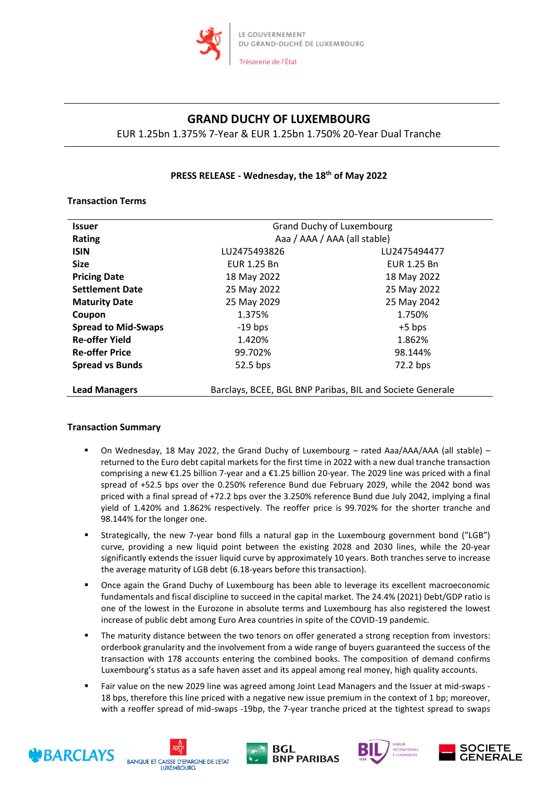

# **GRAND DUCHY OF LUXEMBOURG**

EUR 1.25bn 1.375% 7-Year & EUR 1.25bn 1.750% 20-Year Dual Tranche

# **PRESS RELEASE - Wednesday, the 18 th of May 2022**

## **Transaction Terms**

| <b>Issuer</b>              | <b>Grand Duchy of Luxembourg</b>                          |              |
|----------------------------|-----------------------------------------------------------|--------------|
| <b>Rating</b>              | Aaa / AAA / AAA (all stable)                              |              |
| <b>ISIN</b>                | LU2475493826                                              | LU2475494477 |
| <b>Size</b>                | EUR 1.25 Bn                                               | EUR 1.25 Bn  |
| <b>Pricing Date</b>        | 18 May 2022                                               | 18 May 2022  |
| <b>Settlement Date</b>     | 25 May 2022                                               | 25 May 2022  |
| <b>Maturity Date</b>       | 25 May 2029                                               | 25 May 2042  |
| Coupon                     | 1.375%                                                    | 1.750%       |
| <b>Spread to Mid-Swaps</b> | $-19$ bps                                                 | $+5$ bps     |
| <b>Re-offer Yield</b>      | 1.420%                                                    | 1.862%       |
| <b>Re-offer Price</b>      | 99.702%                                                   | 98.144%      |
| <b>Spread vs Bunds</b>     | 52.5 bps                                                  | 72.2 bps     |
| <b>Lead Managers</b>       | Barclays, BCEE, BGL BNP Paribas, BIL and Societe Generale |              |

## **Transaction Summary**

- On Wednesday, 18 May 2022, the Grand Duchy of Luxembourg rated Aaa/AAA/AAA (all stable) returned to the Euro debt capital markets for the first time in 2022 with a new dual tranche transaction comprising a new €1.25 billion 7-year and a €1.25 billion 20-year. The 2029 line was priced with a final spread of +52.5 bps over the 0.250% reference Bund due February 2029, while the 2042 bond was priced with a final spread of +72.2 bps over the 3.250% reference Bund due July 2042, implying a final yield of 1.420% and 1.862% respectively. The reoffer price is 99.702% for the shorter tranche and 98.144% for the longer one.
- Strategically, the new 7-year bond fills a natural gap in the Luxembourg government bond ("LGB") curve, providing a new liquid point between the existing 2028 and 2030 lines, while the 20-year significantly extends the issuer liquid curve by approximately 10 years. Both tranches serve to increase the average maturity of LGB debt (6.18-years before this transaction).
- **•** Once again the Grand Duchy of Luxembourg has been able to leverage its excellent macroeconomic fundamentals and fiscal discipline to succeed in the capital market. The 24.4% (2021) Debt/GDP ratio is one of the lowest in the Eurozone in absolute terms and Luxembourg has also registered the lowest increase of public debt among Euro Area countries in spite of the COVID-19 pandemic.
- The maturity distance between the two tenors on offer generated a strong reception from investors: orderbook granularity and the involvement from a wide range of buyers guaranteed the success of the transaction with 178 accounts entering the combined books. The composition of demand confirms Luxembourg's status as a safe haven asset and its appeal among real money, high quality accounts.
- Fair value on the new 2029 line was agreed among Joint Lead Managers and the Issuer at mid-swaps 18 bps, therefore this line priced with a negative new issue premium in the context of 1 bp; moreover, with a reoffer spread of mid-swaps -19bp, the 7-year tranche priced at the tightest spread to swaps









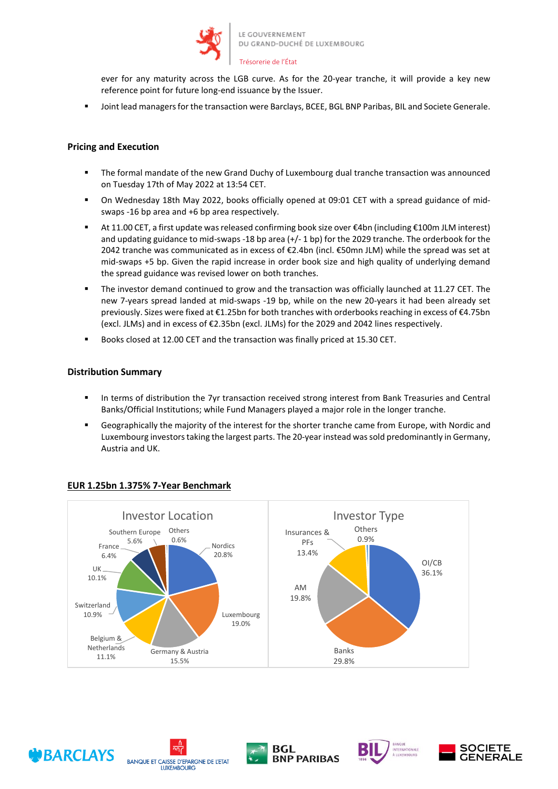

#### Trésorerie de l'État

ever for any maturity across the LGB curve. As for the 20-year tranche, it will provide a key new reference point for future long-end issuance by the Issuer.

Joint lead managers for the transaction were Barclays, BCEE, BGL BNP Paribas, BIL and Societe Generale.

### **Pricing and Execution**

- **The formal mandate of the new Grand Duchy of Luxembourg dual tranche transaction was announced** on Tuesday 17th of May 2022 at 13:54 CET.
- On Wednesday 18th May 2022, books officially opened at 09:01 CET with a spread guidance of midswaps -16 bp area and +6 bp area respectively.
- At 11.00 CET, a first update was released confirming book size over €4bn (including €100m JLM interest) and updating guidance to mid-swaps -18 bp area (+/- 1 bp) for the 2029 tranche. The orderbook for the 2042 tranche was communicated as in excess of €2.4bn (incl. €50mn JLM) while the spread was set at mid-swaps +5 bp. Given the rapid increase in order book size and high quality of underlying demand the spread guidance was revised lower on both tranches.
- The investor demand continued to grow and the transaction was officially launched at 11.27 CET. The new 7-years spread landed at mid-swaps -19 bp, while on the new 20-years it had been already set previously. Sizes were fixed at €1.25bn for both tranches with orderbooks reaching in excess of €4.75bn (excl. JLMs) and in excess of €2.35bn (excl. JLMs) for the 2029 and 2042 lines respectively.
- Books closed at 12.00 CET and the transaction was finally priced at 15.30 CET.

### **Distribution Summary**

- In terms of distribution the 7yr transaction received strong interest from Bank Treasuries and Central Banks/Official Institutions; while Fund Managers played a major role in the longer tranche.
- Geographically the majority of the interest for the shorter tranche came from Europe, with Nordic and Luxembourg investors taking the largest parts. The 20-year instead was sold predominantly in Germany, Austria and UK.



## **EUR 1.25bn 1.375% 7-Year Benchmark**